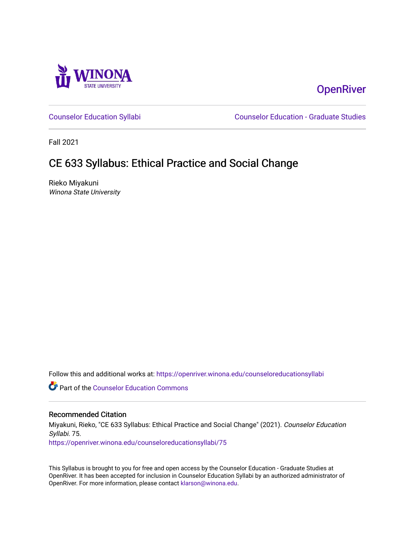

# **OpenRiver**

[Counselor Education Syllabi](https://openriver.winona.edu/counseloreducationsyllabi) [Counselor Education - Graduate Studies](https://openriver.winona.edu/counseloreducation) 

Fall 2021

# CE 633 Syllabus: Ethical Practice and Social Change

Rieko Miyakuni Winona State University

Follow this and additional works at: [https://openriver.winona.edu/counseloreducationsyllabi](https://openriver.winona.edu/counseloreducationsyllabi?utm_source=openriver.winona.edu%2Fcounseloreducationsyllabi%2F75&utm_medium=PDF&utm_campaign=PDFCoverPages)

Part of the [Counselor Education Commons](http://network.bepress.com/hgg/discipline/1278?utm_source=openriver.winona.edu%2Fcounseloreducationsyllabi%2F75&utm_medium=PDF&utm_campaign=PDFCoverPages) 

#### Recommended Citation

Miyakuni, Rieko, "CE 633 Syllabus: Ethical Practice and Social Change" (2021). Counselor Education Syllabi. 75.

[https://openriver.winona.edu/counseloreducationsyllabi/75](https://openriver.winona.edu/counseloreducationsyllabi/75?utm_source=openriver.winona.edu%2Fcounseloreducationsyllabi%2F75&utm_medium=PDF&utm_campaign=PDFCoverPages) 

This Syllabus is brought to you for free and open access by the Counselor Education - Graduate Studies at OpenRiver. It has been accepted for inclusion in Counselor Education Syllabi by an authorized administrator of OpenRiver. For more information, please contact [klarson@winona.edu](mailto:klarson@winona.edu).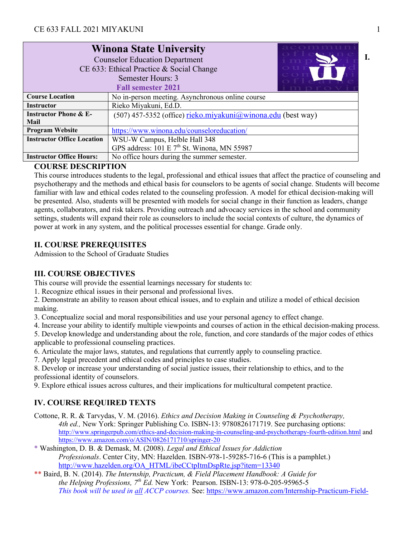|                                                                    | <b>Winona State University</b><br><b>Counselor Education Department</b><br>CE 633: Ethical Practice & Social Change<br>Semester Hours: 3<br><b>Fall semester 2021</b> |  |  |  |
|--------------------------------------------------------------------|-----------------------------------------------------------------------------------------------------------------------------------------------------------------------|--|--|--|
| <b>Course Location</b>                                             | No in-person meeting. Asynchronous online course                                                                                                                      |  |  |  |
| <b>Instructor</b>                                                  | Rieko Miyakuni, Ed.D.                                                                                                                                                 |  |  |  |
| <b>Instructor Phone &amp; E-</b>                                   | $(507)$ 457-5352 (office) rieko.miyakuni@winona.edu (best way)                                                                                                        |  |  |  |
| Mail                                                               |                                                                                                                                                                       |  |  |  |
| <b>Program Website</b>                                             | https://www.winona.edu/counseloreducation/                                                                                                                            |  |  |  |
| <b>Instructor Office Location</b><br>WSU-W Campus, Helble Hall 348 |                                                                                                                                                                       |  |  |  |
|                                                                    | GPS address: 101 E 7 <sup>th</sup> St. Winona, MN 55987                                                                                                               |  |  |  |
| <b>Instructor Office Hours:</b>                                    | No office hours during the summer semester.                                                                                                                           |  |  |  |

## **COURSE DESCRIPTION**

This course introduces students to the legal, professional and ethical issues that affect the practice of counseling and psychotherapy and the methods and ethical basis for counselors to be agents of social change. Students will become familiar with law and ethical codes related to the counseling profession. A model for ethical decision-making will be presented. Also, students will be presented with models for social change in their function as leaders, change agents, collaborators, and risk takers. Providing outreach and advocacy services in the school and community settings, students will expand their role as counselors to include the social contexts of culture, the dynamics of power at work in any system, and the political processes essential for change. Grade only.

# **II. COURSE PREREQUISITES**

Admission to the School of Graduate Studies

# **III. COURSE OBJECTIVES**

This course will provide the essential learnings necessary for students to:

1. Recognize ethical issues in their personal and professional lives.

2. Demonstrate an ability to reason about ethical issues, and to explain and utilize a model of ethical decision making.

3. Conceptualize social and moral responsibilities and use your personal agency to effect change.

4. Increase your ability to identify multiple viewpoints and courses of action in the ethical decision-making process.

5. Develop knowledge and understanding about the role, function, and core standards of the major codes of ethics applicable to professional counseling practices.

6. Articulate the major laws, statutes, and regulations that currently apply to counseling practice.

7. Apply legal precedent and ethical codes and principles to case studies.

8. Develop or increase your understanding of social justice issues, their relationship to ethics, and to the professional identity of counselors.

9. Explore ethical issues across cultures, and their implications for multicultural competent practice.

# **IV. COURSE REQUIRED TEXTS**

- Cottone, R. R. & Tarvydas, V. M. (2016). *Ethics and Decision Making in Counseling & Psychotherapy, 4th ed.,* New York: Springer Publishing Co. ISBN-13: 9780826171719. See purchasing options: http://www.springerpub.com/ethics-and-decision-making-in-counseling-and-psychotherapy-fourth-edition.html and https://www.amazon.com/o/ASIN/0826171710/springer-20
- \* Washington, D. B. & Demask, M. (2008). *Legal and Ethical Issues for Addiction Professionals*. Center City, MN: Hazelden. ISBN-978-1-59285-716-6 (This is a pamphlet.) http://www.hazelden.org/OA\_HTML/ibeCCtpItmDspRte.jsp?item=13340
- \*\* Baird, B. N. (2014). *The Internship, Practicum, & Field Placement Handbook: A Guide for the Helping Professions, 7th Ed.* New York: Pearson. ISBN-13: 978-0-205-95965-5 *This book will be used in all ACCP courses.* See: https://www.amazon.com/Internship-Practicum-Field-

**I.**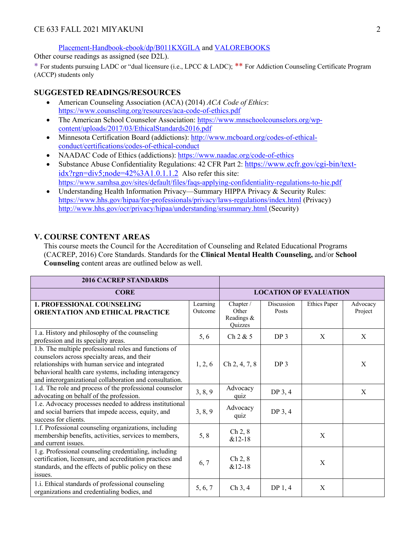Placement-Handbook-ebook/dp/B011KXGILA and VALOREBOOKS

Other course readings as assigned (see D2L).

\* For students pursuing LADC or "dual licensure (i.e., LPCC & LADC); \*\* For Addiction Counseling Certificate Program (ACCP) students only

### **SUGGESTED READINGS/RESOURCES**

- American Counseling Association (ACA) (2014) *ACA Code of Ethics*: https://www.counseling.org/resources/aca-code-of-ethics.pdf
- The American School Counselor Association: https://www.mnschoolcounselors.org/wpcontent/uploads/2017/03/EthicalStandards2016.pdf
- Minnesota Certification Board (addictions): http://www.mcboard.org/codes-of-ethicalconduct/certifications/codes-of-ethical-conduct
- NAADAC Code of Ethics (addictions): https://www.naadac.org/code-of-ethics
- Substance Abuse Confidentiality Regulations: 42 CFR Part 2: https://www.ecfr.gov/cgi-bin/textidx?rgn=div5;node=42%3A1.0.1.1.2 Also refer this site: https://www.samhsa.gov/sites/default/files/faqs-applying-confidentiality-regulations-to-hie.pdf
- Understanding Health Information Privacy—Summary HIPPA Privacy & Security Rules: https://www.hhs.gov/hipaa/for-professionals/privacy/laws-regulations/index.html (Privacy) http://www.hhs.gov/ocr/privacy/hipaa/understanding/srsummary.html (Security)

### **V. COURSE CONTENT AREAS**

This course meets the Council for the Accreditation of Counseling and Related Educational Programs (CACREP, 2016) Core Standards. Standards for the **Clinical Mental Health Counseling,** and/or **School Counseling** content areas are outlined below as well.

| <b>2016 CACREP STANDARDS</b>                                                                                                                                                                                                                                                 |                               |                                                    |                     |                     |                     |
|------------------------------------------------------------------------------------------------------------------------------------------------------------------------------------------------------------------------------------------------------------------------------|-------------------------------|----------------------------------------------------|---------------------|---------------------|---------------------|
| <b>CORE</b>                                                                                                                                                                                                                                                                  | <b>LOCATION OF EVALUATION</b> |                                                    |                     |                     |                     |
| <b>1. PROFESSIONAL COUNSELING</b><br><b>ORIENTATION AND ETHICAL PRACTICE</b>                                                                                                                                                                                                 | Learning<br>Outcome           | Chapter /<br>Other<br>Readings &<br><b>Ouizzes</b> | Discussion<br>Posts | <b>Ethics Paper</b> | Advocacy<br>Project |
| 1.a. History and philosophy of the counseling<br>profession and its specialty areas.                                                                                                                                                                                         | 5, 6                          | Ch 2 & 5                                           | DP <sub>3</sub>     | X                   | X                   |
| 1.b. The multiple professional roles and functions of<br>counselors across specialty areas, and their<br>relationships with human service and integrated<br>behavioral health care systems, including interagency<br>and interorganizational collaboration and consultation. | 1, 2, 6                       | Ch 2, 4, 7, 8                                      | DP <sub>3</sub>     |                     | X                   |
| 1.d. The role and process of the professional counselor<br>advocating on behalf of the profession.                                                                                                                                                                           | 3, 8, 9                       | Advocacy<br>quiz                                   | DP 3, 4             |                     | X                   |
| 1.e. Advocacy processes needed to address institutional<br>and social barriers that impede access, equity, and<br>success for clients.                                                                                                                                       | 3, 8, 9                       | Advocacy<br>quiz                                   | DP 3, 4             |                     |                     |
| 1.f. Professional counseling organizations, including<br>membership benefits, activities, services to members,<br>and current issues.                                                                                                                                        | 5, 8                          | Ch 2, 8<br>$&12-18$                                |                     | X                   |                     |
| 1.g. Professional counseling credentialing, including<br>certification, licensure, and accreditation practices and<br>standards, and the effects of public policy on these<br>issues.                                                                                        | 6,7                           | Ch 2, 8<br>$&12-18$                                |                     | X                   |                     |
| 1.i. Ethical standards of professional counseling<br>organizations and credentialing bodies, and                                                                                                                                                                             | 5, 6, 7                       | $Ch$ 3, 4                                          | DP <sub>1</sub> , 4 | X                   |                     |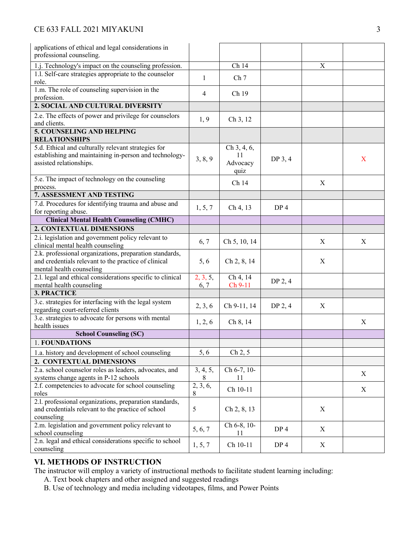| applications of ethical and legal considerations in                                     |          |                 |                     |                  |   |
|-----------------------------------------------------------------------------------------|----------|-----------------|---------------------|------------------|---|
| professional counseling.                                                                |          |                 |                     |                  |   |
| 1.j. Technology's impact on the counseling profession.                                  |          | Ch 14           |                     | X                |   |
| 1.1. Self-care strategies appropriate to the counselor                                  | 1        | Ch <sub>7</sub> |                     |                  |   |
| role.                                                                                   |          |                 |                     |                  |   |
| 1.m. The role of counseling supervision in the<br>profession.                           | 4        | Ch 19           |                     |                  |   |
| 2. SOCIAL AND CULTURAL DIVERSITY                                                        |          |                 |                     |                  |   |
| 2.e. The effects of power and privilege for counselors                                  |          |                 |                     |                  |   |
| and clients.                                                                            | 1, 9     | Ch 3, 12        |                     |                  |   |
| 5. COUNSELING AND HELPING                                                               |          |                 |                     |                  |   |
| <b>RELATIONSHIPS</b>                                                                    |          |                 |                     |                  |   |
| 5.d. Ethical and culturally relevant strategies for                                     |          | Ch 3, 4, 6,     |                     |                  |   |
| establishing and maintaining in-person and technology-                                  | 3, 8, 9  | 11              | DP 3, 4             |                  | X |
| assisted relationships.                                                                 |          | Advocacy        |                     |                  |   |
|                                                                                         |          | quiz            |                     |                  |   |
| 5.e. The impact of technology on the counseling                                         |          | Ch 14           |                     | X                |   |
| process.                                                                                |          |                 |                     |                  |   |
| 7. ASSESSMENT AND TESTING                                                               |          |                 |                     |                  |   |
| 7.d. Procedures for identifying trauma and abuse and                                    | 1, 5, 7  | Ch 4, 13        | DP <sub>4</sub>     |                  |   |
| for reporting abuse.                                                                    |          |                 |                     |                  |   |
| <b>Clinical Mental Health Counseling (CMHC)</b>                                         |          |                 |                     |                  |   |
| 2. CONTEXTUAL DIMENSIONS                                                                |          |                 |                     |                  |   |
| 2.i. legislation and government policy relevant to<br>clinical mental health counseling | 6, 7     | Ch 5, 10, 14    |                     | X                | X |
| 2.k. professional organizations, preparation standards,                                 |          |                 |                     |                  |   |
| and credentials relevant to the practice of clinical                                    | 5, 6     | Ch 2, 8, 14     |                     | X                |   |
| mental health counseling                                                                |          |                 |                     |                  |   |
| 2.1. legal and ethical considerations specific to clinical                              | 2, 3, 5, | Ch 4, 14        | DP 2, 4             |                  |   |
| mental health counseling                                                                | 6, 7     | Ch 9-11         |                     |                  |   |
| <b>3. PRACTICE</b>                                                                      |          |                 |                     |                  |   |
| 3.c. strategies for interfacing with the legal system                                   | 2, 3, 6  | Ch 9-11, 14     | DP <sub>2</sub> , 4 | X                |   |
| regarding court-referred clients                                                        |          |                 |                     |                  |   |
| 3.e. strategies to advocate for persons with mental                                     | 1, 2, 6  | Ch 8, 14        |                     |                  | X |
| health issues                                                                           |          |                 |                     |                  |   |
| <b>School Counseling (SC)</b>                                                           |          |                 |                     |                  |   |
| 1. FOUNDATIONS                                                                          |          |                 |                     |                  |   |
| 1.a. history and development of school counseling                                       | 5, 6     | Ch 2, 5         |                     |                  |   |
| 2. CONTEXTUAL DIMENSIONS                                                                |          |                 |                     |                  |   |
| 2.a. school counselor roles as leaders, advocates, and                                  | 3, 4, 5, | Ch 6-7, 10-     |                     |                  | X |
| systems change agents in P-12 schools                                                   | 8        | 11              |                     |                  |   |
| 2.f. competencies to advocate for school counseling                                     | 2, 3, 6, | Ch 10-11        |                     |                  | X |
| roles                                                                                   | 8        |                 |                     |                  |   |
| 2.1. professional organizations, preparation standards,                                 |          |                 |                     |                  |   |
| and credentials relevant to the practice of school                                      | 5        | Ch 2, 8, 13     |                     | $\boldsymbol{X}$ |   |
| counseling                                                                              |          |                 |                     |                  |   |
| 2.m. legislation and government policy relevant to                                      | 5, 6, 7  | Ch 6-8, 10-     | DP <sub>4</sub>     | X                |   |
| school counseling                                                                       |          | 11              |                     |                  |   |
| 2.n. legal and ethical considerations specific to school                                | 1, 5, 7  | Ch 10-11        | DP 4                | X                |   |
| counseling                                                                              |          |                 |                     |                  |   |

## **VI. METHODS OF INSTRUCTION**

The instructor will employ a variety of instructional methods to facilitate student learning including:

- A. Text book chapters and other assigned and suggested readings
- B. Use of technology and media including videotapes, films, and Power Points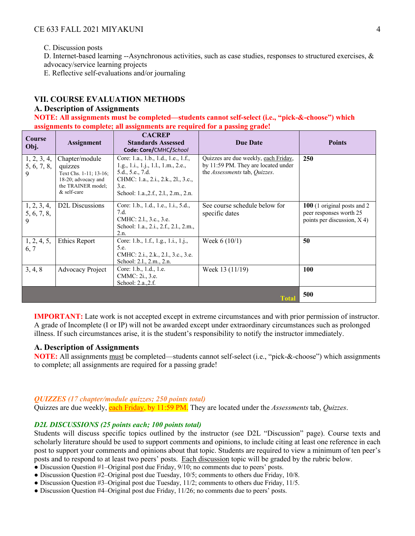C. Discussion posts

D. Internet-based learning --Asynchronous activities, such as case studies, responses to structured exercises, &

advocacy/service learning projects

E. Reflective self-evaluations and/or journaling

## **VII. COURSE EVALUATION METHODS**

#### **A. Description of Assignments**

**NOTE: All assignments must be completed—students cannot self-select (i.e., "pick-&-choose") which assignments to complete; all assignments are required for a passing grade!** 

| Course<br>Obj.                  | <b>Assignment</b>                                                                                                 | <b>CACREP</b><br><b>Standards Assessed</b><br>Code: Core/CMHC/School                                                                                                                 | <b>Due Date</b>                                                                                              | <b>Points</b>                                                                            |
|---------------------------------|-------------------------------------------------------------------------------------------------------------------|--------------------------------------------------------------------------------------------------------------------------------------------------------------------------------------|--------------------------------------------------------------------------------------------------------------|------------------------------------------------------------------------------------------|
| 1, 2, 3, 4,<br>5, 6, 7, 8,<br>9 | Chapter/module<br>quizzes<br>Text Chs. 1-11; 13-16;<br>18-20; advocacy and<br>the TRAINER model;<br>$&$ self-care | Core: 1.a., 1.b., 1.d., 1.e., 1.f.,<br>1.g., 1.i., 1.j., 1.l., 1.m., 2.e.,<br>5.d., 5.e., 7.d.<br>CHMC: 1.a., 2.i., 2.k., 2l., 3.c.,<br>3.e.<br>School: 1.a., 2.f., 2.l., 2.m., 2.n. | Quizzes are due weekly, each Friday,<br>by 11:59 PM. They are located under<br>the Assessments tab, Quizzes. | 250                                                                                      |
| 1, 2, 3, 4,<br>5, 6, 7, 8,<br>9 | D <sub>2</sub> L Discussions                                                                                      | Core: 1.b., 1.d., 1.e., 1.i., 5.d.,<br>7.d.<br>CMHC: 2.1., 3.c., 3.e.<br>School: 1.a., 2.i., 2.f., 2.l., 2.m.,<br>2.n.                                                               | See course schedule below for<br>specific dates                                                              | 100 (1 original posts and 2)<br>peer responses worth 25<br>points per discussion, $X$ 4) |
| 1, 2, 4, 5,<br>6, 7             | Ethics Report                                                                                                     | Core: 1.b., 1.f., 1.g., 1.i., 1.j.,<br>5.e.<br>CMHC: 2.i., 2.k., 2.l., 3.c., 3.e.<br>School: 2.1., 2.m., 2.n.                                                                        | Week $6(10/1)$                                                                                               | 50                                                                                       |
| 3, 4, 8                         | <b>Advocacy Project</b>                                                                                           | Core: 1.b., 1.d., 1.e.<br>CMMC: 2 <i>i.</i> , 3.e.<br>School: 2.a., 2.f.                                                                                                             | Week 13 (11/19)                                                                                              | <b>100</b>                                                                               |
|                                 |                                                                                                                   |                                                                                                                                                                                      | Tota                                                                                                         | 500                                                                                      |

**IMPORTANT:** Late work is not accepted except in extreme circumstances and with prior permission of instructor. A grade of Incomplete (I or IP) will not be awarded except under extraordinary circumstances such as prolonged illness. If such circumstances arise, it is the student's responsibility to notify the instructor immediately.

#### **A. Description of Assignments**

**NOTE:** All assignments must be completed—students cannot self-select (i.e., "pick-&-choose") which assignments to complete; all assignments are required for a passing grade!

#### *QUIZZES (17 chapter/module quizzes; 250 points total)*

Quizzes are due weekly, each Friday, by 11:59 PM. They are located under the *Assessments* tab, *Quizzes*.

#### *D2L DISCUSSIONS (25 points each; 100 points total)*

Students will discuss specific topics outlined by the instructor (see D2L "Discussion" page). Course texts and scholarly literature should be used to support comments and opinions, to include citing at least one reference in each post to support your comments and opinions about that topic. Students are required to view a minimum of ten peer's posts and to respond to at least two peers' posts. Each discussion topic will be graded by the rubric below.

- Discussion Question #1–Original post due Friday, 9/10; no comments due to peers' posts.
- Discussion Question #2–Original post due Tuesday, 10/5; comments to others due Friday, 10/8.
- Discussion Question #3–Original post due Tuesday, 11/2; comments to others due Friday, 11/5.
- Discussion Question #4–Original post due Friday, 11/26; no comments due to peers' posts.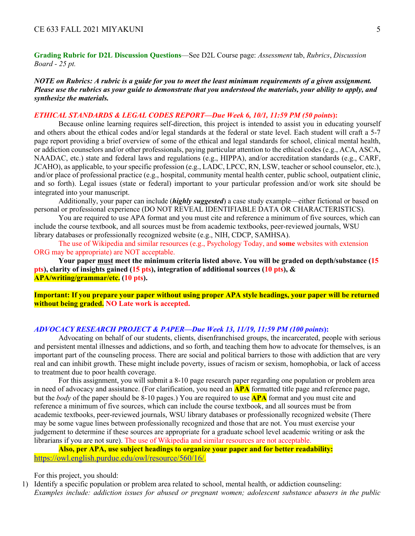**Grading Rubric for D2L Discussion Questions**—See D2L Course page: *Assessment* tab, *Rubrics*, *Discussion Board - 25 pt.*

*NOTE on Rubrics: A rubric is a guide for you to meet the least minimum requirements of a given assignment. Please use the rubrics as your guide to demonstrate that you understood the materials, your ability to apply, and synthesize the materials.*

#### *ETHICAL STANDARDS & LEGAL CODES REPORT—Due Week 6, 10/1, 11:59 PM (50 points***):**

Because online learning requires self-direction, this project is intended to assist you in educating yourself and others about the ethical codes and/or legal standards at the federal or state level. Each student will craft a 5-7 page report providing a brief overview of some of the ethical and legal standards for school, clinical mental health, or addiction counselors and/or other professionals, paying particular attention to the ethical codes (e.g., ACA, ASCA, NAADAC, etc.) state and federal laws and regulations (e.g., HIPPA), and/or accreditation standards (e.g., CARF, JCAHO), as applicable, to your specific profession (e.g., LADC, LPCC, RN, LSW, teacher or school counselor, etc.), and/or place of professional practice (e.g., hospital, community mental health center, public school, outpatient clinic, and so forth). Legal issues (state or federal) important to your particular profession and/or work site should be integrated into your manuscript.

Additionally, your paper can include (*highly suggested*) a case study example—either fictional or based on personal or professional experience (DO NOT REVEAL IDENTIFIABLE DATA OR CHARACTERISTICS).

You are required to use APA format and you must cite and reference a minimum of five sources, which can include the course textbook, and all sources must be from academic textbooks, peer-reviewed journals, WSU library databases or professionally recognized website (e.g., NIH, CDCP, SAMHSA).

The use of Wikipedia and similar resources (e.g., Psychology Today, and **some** websites with extension ORG may be appropriate) are NOT acceptable.

**Your paper must meet the minimum criteria listed above. You will be graded on depth/substance (15 pts), clarity of insights gained (15 pts), integration of additional sources (10 pts), & APA/writing/grammar/etc. (10 pts).**

**Important: If you prepare your paper without using proper APA style headings, your paper will be returned without being graded. NO Late work is accepted.** 

#### *ADVOCACY RESEARCH PROJECT & PAPER—Due Week 13, 11/19, 11:59 PM (100 points***):**

Advocating on behalf of our students, clients, disenfranchised groups, the incarcerated, people with serious and persistent mental illnesses and addictions, and so forth, and teaching them how to advocate for themselves, is an important part of the counseling process. There are social and political barriers to those with addiction that are very real and can inhibit growth. These might include poverty, issues of racism or sexism, homophobia, or lack of access to treatment due to poor health coverage.

For this assignment, you will submit a 8-10 page research paper regarding one population or problem area in need of advocacy and assistance. (For clarification, you need an **APA** formatted title page and reference page, but the *body* of the paper should be 8-10 pages.) You are required to use **APA** format and you must cite and reference a minimum of five sources, which can include the course textbook, and all sources must be from academic textbooks, peer-reviewed journals, WSU library databases or professionally recognized website (There may be some vague lines between professionally recognized and those that are not. You must exercise your judgement to determine if these sources are appropriate for a graduate school level academic writing or ask the librarians if you are not sure). The use of Wikipedia and similar resources are not acceptable.

**Also, per APA, use subject headings to organize your paper and for better readability:** https://owl.english.purdue.edu/owl/resource/560/16/.

For this project, you should:

1) Identify a specific population or problem area related to school, mental health, or addiction counseling: *Examples include: addiction issues for abused or pregnant women; adolescent substance abusers in the public*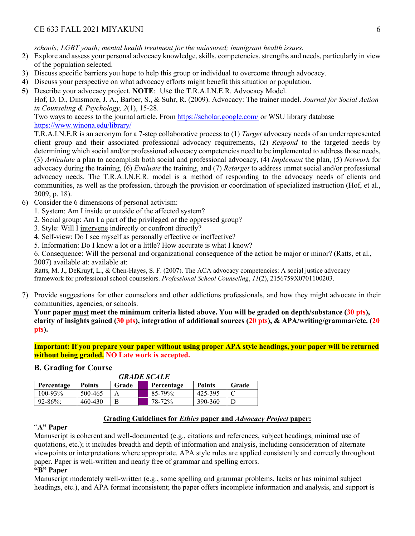*schools; LGBT youth; mental health treatment for the uninsured; immigrant health issues.*

- 2) Explore and assess your personal advocacy knowledge, skills, competencies, strengths and needs, particularly in view of the population selected.
- 3) Discuss specific barriers you hope to help this group or individual to overcome through advocacy.
- 4) Discuss your perspective on what advocacy efforts might benefit this situation or population.
- **5)** Describe your advocacy project. **NOTE**: Use the T.R.A.I.N.E.R. Advocacy Model.

Hof, D. D., Dinsmore, J. A., Barber, S., & Suhr, R. (2009). Advocacy: The trainer model. *Journal for Social Action in Counseling & Psychology, 2*(1), 15-28.

Two ways to access to the journal article. From https://scholar.google.com/ or WSU library database https://www.winona.edu/library/

T.R.A.I.N.E.R is an acronym for a 7-step collaborative process to (1) *Target* advocacy needs of an underrepresented client group and their associated professional advocacy requirements, (2) *Respond* to the targeted needs by determining which social and/or professional advocacy competencies need to be implemented to address those needs, (3) *Articulate* a plan to accomplish both social and professional advocacy, (4) *Implement* the plan, (5) *Network* for advocacy during the training, (6) *Evaluate* the training, and (7) *Retarget* to address unmet social and/or professional advocacy needs. The T.R.A.I.N.E.R. model is a method of responding to the advocacy needs of clients and communities, as well as the profession, through the provision or coordination of specialized instruction (Hof, et al., 2009, p. 18).

- 6) Consider the 6 dimensions of personal activism:
	- 1. System: Am I inside or outside of the affected system?
	- 2. Social group: Am I a part of the privileged or the oppressed group?
	- 3. Style: Will I intervene indirectly or confront directly?
	- 4. Self-view: Do I see myself as personally effective or ineffective?
	- 5. Information: Do I know a lot or a little? How accurate is what I know?

6. Consequence: Will the personal and organizational consequence of the action be major or minor? (Ratts, et al., 2007) available at: available at:

Ratts, M. J., DeKruyf, L., & Chen-Hayes, S. F. (2007). The ACA advocacy competencies: A social justice advocacy framework for professional school counselors. *Professional School Counseling*, *11*(2), 2156759X0701100203.

7) Provide suggestions for other counselors and other addictions professionals, and how they might advocate in their communities, agencies, or schools.

**Your paper must meet the minimum criteria listed above. You will be graded on depth/substance (30 pts), clarity of insights gained (30 pts), integration of additional sources (20 pts), & APA/writing/grammar/etc. (20 pts).**

**Important: If you prepare your paper without using proper APA style headings, your paper will be returned without being graded. NO Late work is accepted.** 

### **B. Grading for Course**

| <b>GRADE SCALE</b> |               |       |  |             |               |       |
|--------------------|---------------|-------|--|-------------|---------------|-------|
| Percentage         | <b>Points</b> | Grade |  | Percentage  | <b>Points</b> | Grade |
| $100 - 93\%$       | 500-465       |       |  | $85-79\%$ : | 425-395       |       |
| $92 - 86\%$        | 460-430       |       |  | 78-72%      | 390-360       |       |

#### **Grading Guidelines for** *Ethics* **paper and** *Advocacy Project* **paper:**

#### "**A" Paper**

Manuscript is coherent and well-documented (e.g., citations and references, subject headings, minimal use of quotations, etc.); it includes breadth and depth of information and analysis, including consideration of alternate viewpoints or interpretations where appropriate. APA style rules are applied consistently and correctly throughout paper. Paper is well-written and nearly free of grammar and spelling errors.

#### **"B" Paper**

Manuscript moderately well-written (e.g., some spelling and grammar problems, lacks or has minimal subject headings, etc.), and APA format inconsistent; the paper offers incomplete information and analysis, and support is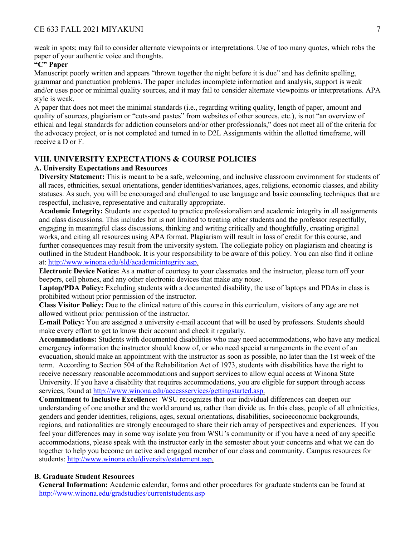weak in spots; may fail to consider alternate viewpoints or interpretations. Use of too many quotes, which robs the paper of your authentic voice and thoughts.

#### **"C" Paper**

Manuscript poorly written and appears "thrown together the night before it is due" and has definite spelling, grammar and punctuation problems. The paper includes incomplete information and analysis, support is weak and/or uses poor or minimal quality sources, and it may fail to consider alternate viewpoints or interpretations. APA style is weak.

A paper that does not meet the minimal standards (i.e., regarding writing quality, length of paper, amount and quality of sources, plagiarism or "cuts-and pastes" from websites of other sources, etc.), is not "an overview of ethical and legal standards for addiction counselors and/or other professionals," does not meet all of the criteria for the advocacy project, or is not completed and turned in to D2L Assignments within the allotted timeframe, will receive a D or F.

#### **VIII. UNIVERSITY EXPECTATIONS & COURSE POLICIES**

#### **A. University Expectations and Resources**

**Diversity Statement:** This is meant to be a safe, welcoming, and inclusive classroom environment for students of all races, ethnicities, sexual orientations, gender identities/variances, ages, religions, economic classes, and ability statuses. As such, you will be encouraged and challenged to use language and basic counseling techniques that are respectful, inclusive, representative and culturally appropriate.

**Academic Integrity:** Students are expected to practice professionalism and academic integrity in all assignments and class discussions. This includes but is not limited to treating other students and the professor respectfully, engaging in meaningful class discussions, thinking and writing critically and thoughtfully, creating original works, and citing all resources using APA format. Plagiarism will result in loss of credit for this course, and further consequences may result from the university system. The collegiate policy on plagiarism and cheating is outlined in the Student Handbook. It is your responsibility to be aware of this policy. You can also find it online at: http://www.winona.edu/sld/academicintegrity.asp.

**Electronic Device Notice:** As a matter of courtesy to your classmates and the instructor, please turn off your beepers, cell phones, and any other electronic devices that make any noise.

**Laptop/PDA Policy:** Excluding students with a documented disability, the use of laptops and PDAs in class is prohibited without prior permission of the instructor.

**Class Visitor Policy:** Due to the clinical nature of this course in this curriculum, visitors of any age are not allowed without prior permission of the instructor.

**E-mail Policy:** You are assigned a university e-mail account that will be used by professors. Students should make every effort to get to know their account and check it regularly.

**Accommodations:** Students with documented disabilities who may need accommodations, who have any medical emergency information the instructor should know of, or who need special arrangements in the event of an evacuation, should make an appointment with the instructor as soon as possible, no later than the 1st week of the term. According to Section 504 of the Rehabilitation Act of 1973, students with disabilities have the right to receive necessary reasonable accommodations and support services to allow equal access at Winona State University. If you have a disability that requires accommodations, you are eligible for support through access services, found at http://www.winona.edu/accessservices/gettingstarted.asp.

**Commitment to Inclusive Excellence:** WSU recognizes that our individual differences can deepen our understanding of one another and the world around us, rather than divide us. In this class, people of all ethnicities, genders and gender identities, religions, ages, sexual orientations, disabilities, socioeconomic backgrounds, regions, and nationalities are strongly encouraged to share their rich array of perspectives and experiences. If you feel your differences may in some way isolate you from WSU's community or if you have a need of any specific accommodations, please speak with the instructor early in the semester about your concerns and what we can do together to help you become an active and engaged member of our class and community. Campus resources for students: http://www.winona.edu/diversity/estatement.asp.

#### **B. Graduate Student Resources**

**General Information:** Academic calendar, forms and other procedures for graduate students can be found at http://www.winona.edu/gradstudies/currentstudents.asp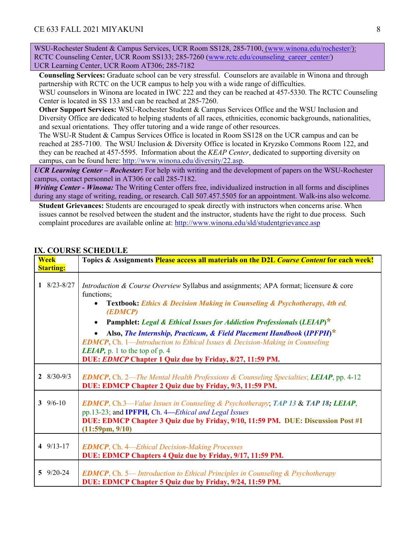WSU-Rochester Student & Campus Services, UCR Room SS128, 285-7100, (www.winona.edu/rochester/): RCTC Counseling Center, UCR Room SS133; 285-7260 (www.rctc.edu/counseling\_career\_center/) UCR Learning Center, UCR Room AT306; 285-7182

**Counseling Services:** Graduate school can be very stressful. Counselors are available in Winona and through partnership with RCTC on the UCR campus to help you with a wide range of difficulties.

WSU counselors in Winona are located in IWC 222 and they can be reached at 457-5330. The RCTC Counseling Center is located in SS 133 and can be reached at 285-7260.

**Other Support Services:** WSU-Rochester Student & Campus Services Office and the WSU Inclusion and Diversity Office are dedicated to helping students of all races, ethnicities, economic backgrounds, nationalities, and sexual orientations. They offer tutoring and a wide range of other resources.

The WSU-R Student & Campus Services Office is located in Room SS128 on the UCR campus and can be reached at 285-7100. The WSU Inclusion & Diversity Office is located in Kryzsko Commons Room 122, and they can be reached at 457-5595. Information about the *KEAP Center*, dedicated to supporting diversity on campus, can be found here: http://www.winona.edu/diversity/22.asp.

*UCR Learning Center – Rochester***:** For help with writing and the development of papers on the WSU-Rochester campus, contact personnel in AT306 or call 285-7182.

*Writing Center - Winona:* The Writing Center offers free, individualized instruction in all forms and disciplines during any stage of writing, reading, or research. Call 507.457.5505 for an appointment. Walk-ins also welcome.

**Student Grievances:** Students are encouraged to speak directly with instructors when concerns arise. When issues cannot be resolved between the student and the instructor, students have the right to due process. Such complaint procedures are available online at: http://www.winona.edu/sld/studentgrievance.asp

| <b>Week</b><br><b>Starting:</b> | Topics & Assignments Please access all materials on the D2L Course Content for each week!                                                                                                                                                                                                                                                                                                                                                                                                                                                 |
|---------------------------------|-------------------------------------------------------------------------------------------------------------------------------------------------------------------------------------------------------------------------------------------------------------------------------------------------------------------------------------------------------------------------------------------------------------------------------------------------------------------------------------------------------------------------------------------|
| $1 \quad 8/23 - 8/27$           | Introduction & Course Overview Syllabus and assignments; APA format; licensure & core<br>functions;<br>Textbook: Ethics & Decision Making in Counseling & Psychotherapy, 4th ed,<br>(EDMCP)<br>Pamphlet: Legal & Ethical Issues for Addiction Professionals (LEIAP)*<br>Also, The Internship, Practicum, & Field Placement Handbook (IPFPH)*<br><b>EDMCP</b> , Ch. 1—Introduction to Ethical Issues & Decision-Making in Counseling<br><i>LEIAP</i> , p. 1 to the top of p. 4<br>DUE: EDMCP Chapter 1 Quiz due by Friday, 8/27, 11:59 PM. |
| $2 \quad 8/30 - 9/3$            | <b>EDMCP</b> , Ch. 2—The Mental Health Professions & Counseling Specialties; LEIAP, pp. 4-12<br>DUE: EDMCP Chapter 2 Quiz due by Friday, 9/3, 11:59 PM.                                                                                                                                                                                                                                                                                                                                                                                   |
| 3 $9/6 - 10$                    | <b>EDMCP</b> , Ch.3—Value Issues in Counseling & Psychotherapy; TAP 13 & TAP 18; LEIAP,<br>pp.13-23; and IPFPH, Ch. 4-Ethical and Legal Issues<br>DUE: EDMCP Chapter 3 Quiz due by Friday, 9/10, 11:59 PM. DUE: Discussion Post #1<br>$(11:59 \text{pm}, 9/10)$                                                                                                                                                                                                                                                                           |
| 4 $9/13-17$                     | <b>EDMCP</b> , Ch. 4— <i>Ethical Decision-Making Processes</i><br>DUE: EDMCP Chapters 4 Quiz due by Friday, 9/17, 11:59 PM.                                                                                                                                                                                                                                                                                                                                                                                                               |
| $5 \frac{9}{20} - 24$           | <b>EDMCP</b> , Ch. 5— Introduction to Ethical Principles in Counseling & Psychotherapy<br>DUE: EDMCP Chapter 5 Quiz due by Friday, 9/24, 11:59 PM.                                                                                                                                                                                                                                                                                                                                                                                        |

### **IX. COURSE SCHEDULE**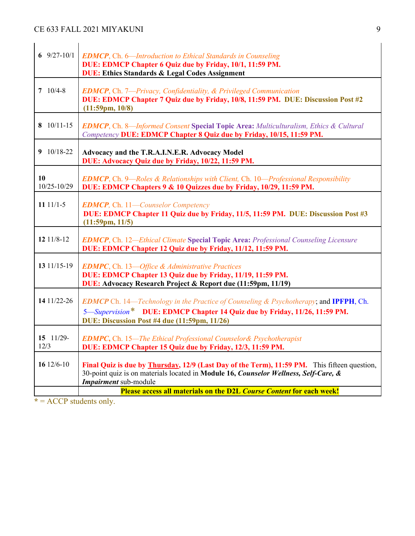| 6 $9/27-10/1$              | <b>EDMCP</b> , Ch. 6—Introduction to Ethical Standards in Counseling<br>DUE: EDMCP Chapter 6 Quiz due by Friday, 10/1, 11:59 PM.<br><b>DUE: Ethics Standards &amp; Legal Codes Assignment</b>                                     |
|----------------------------|-----------------------------------------------------------------------------------------------------------------------------------------------------------------------------------------------------------------------------------|
| $7 \t10/4-8$               | <b>EDMCP</b> , Ch. 7-Privacy, Confidentiality, & Privileged Communication<br>DUE: EDMCP Chapter 7 Quiz due by Friday, 10/8, 11:59 PM. DUE: Discussion Post #2<br>$(11:59 \text{pm}, 10/8)$                                        |
| 8 10/11-15                 | <b>EDMCP</b> , Ch. 8—Informed Consent Special Topic Area: Multiculturalism, Ethics & Cultural<br>Competency DUE: EDMCP Chapter 8 Quiz due by Friday, 10/15, 11:59 PM.                                                             |
| $9$ 10/18-22               | Advocacy and the T.R.A.I.N.E.R. Advocacy Model<br>DUE: Advocacy Quiz due by Friday, 10/22, 11:59 PM.                                                                                                                              |
| 10<br>10/25-10/29          | <b>EDMCP</b> , Ch. 9—Roles & Relationships with Client, Ch. 10—Professional Responsibility<br>DUE: EDMCP Chapters 9 & 10 Quizzes due by Friday, 10/29, 11:59 PM.                                                                  |
| 11 $11/1-5$                | <b>EDMCP</b> , Ch. 11-Counselor Competency<br>DUE: EDMCP Chapter 11 Quiz due by Friday, 11/5, 11:59 PM. DUE: Discussion Post #3<br>$(11:59 \text{pm}, 11/5)$                                                                      |
| 12 11/8-12                 | <b>EDMCP</b> , Ch. 12—Ethical Climate Special Topic Area: Professional Counseling Licensure<br>DUE: EDMCP Chapter 12 Quiz due by Friday, 11/12, 11:59 PM.                                                                         |
| 13 11/15-19                | <b>EDMPC</b> , Ch. 13-Office & Administrative Practices<br>DUE: EDMCP Chapter 13 Quiz due by Friday, 11/19, 11:59 PM.<br>DUE: Advocacy Research Project & Report due (11:59pm, 11/19)                                             |
| 14 11/22-26                | <b>EDMCP</b> Ch. 14—Technology in the Practice of Counseling & Psychotherapy; and <b>IPFPH</b> , Ch.<br>5—Supervision* DUE: EDMCP Chapter 14 Quiz due by Friday, 11/26, 11:59 PM.<br>DUE: Discussion Post #4 due (11:59pm, 11/26) |
| $15 \quad 11/29$ -<br>12/3 | <b>EDMPC, Ch. 15—The Ethical Professional Counselor&amp; Psychotherapist</b><br>DUE: EDMCP Chapter 15 Quiz due by Friday, 12/3, 11:59 PM.                                                                                         |
| 16 12/6-10                 | Final Quiz is due by <b>Thursday</b> , 12/9 (Last Day of the Term), 11:59 PM. This fifteen question,<br>30-point quiz is on materials located in Module 16, Counselor Wellness, Self-Care, &<br>Impairment sub-module             |
|                            | <b>Please access all materials on the D2L Course Content for each week!</b>                                                                                                                                                       |

**\*** = ACCP students only.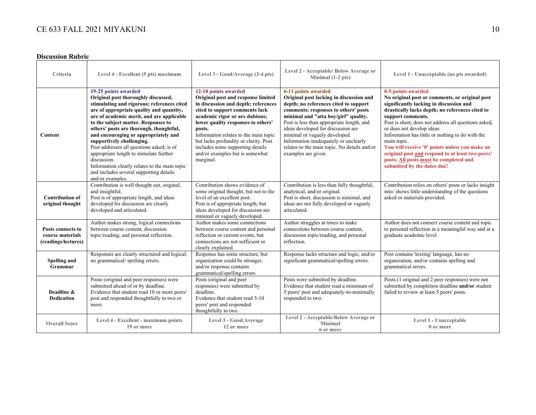#### **Discussion Rubric**

| Criteria                                                     | Level 4 - Excellent (5 pts) maximum                                                                                                                                                                                                                                                                                                                                                                                                                                                                                                                                              | Level 3 - Good/Average (3-4 pts)                                                                                                                                                                                                                                                                                                                                                            | Level 2 - Acceptable/ Below Average or<br>Minimal $(1-2$ pts)                                                                                                                                                                                                                                                                                                                                                               | Level 1 - Unacceptable (no pts awarded)                                                                                                                                                                                                                                                                                                                                                                                                                                                                                         |
|--------------------------------------------------------------|----------------------------------------------------------------------------------------------------------------------------------------------------------------------------------------------------------------------------------------------------------------------------------------------------------------------------------------------------------------------------------------------------------------------------------------------------------------------------------------------------------------------------------------------------------------------------------|---------------------------------------------------------------------------------------------------------------------------------------------------------------------------------------------------------------------------------------------------------------------------------------------------------------------------------------------------------------------------------------------|-----------------------------------------------------------------------------------------------------------------------------------------------------------------------------------------------------------------------------------------------------------------------------------------------------------------------------------------------------------------------------------------------------------------------------|---------------------------------------------------------------------------------------------------------------------------------------------------------------------------------------------------------------------------------------------------------------------------------------------------------------------------------------------------------------------------------------------------------------------------------------------------------------------------------------------------------------------------------|
| Content                                                      | 19-25 points awarded<br>Original post thoroughly discussed,<br>stimulating and rigorous; references cited<br>are of appropriate quality and quantity,<br>are of academic merit, and are applicable<br>to the subject matter. Responses to<br>others' posts are thorough, thoughtful,<br>and encouraging or appropriately and<br>supportively challenging.<br>Post addresses all questions asked; is of<br>appropriate length to stimulate further<br>discussion.<br>Information clearly relates to the main topic<br>and includes several supporting details<br>and/or examples. | 12-18 points awarded<br>Original post and response limited<br>in discussion and depth; references<br>cited to support comments lack<br>academic rigor or are dubious;<br>lower quality responses to others'<br>posts.<br>Information relates to the main topic<br>but lacks profundity or clarity. Post<br>includes some supporting details<br>and/or examples but is somewhat<br>marginal. | 6-11 points awarded<br>Original post lacking in discussion and<br>depth; no references cited to support<br>comments; responses to others' posts<br>minimal and "atta boy/girl" quality.<br>Post is less than appropriate length, and<br>ideas developed for discussion are<br>minimal or vaguely developed.<br>Information inadequately or unclearly<br>relates to the main topic. No details and/or<br>examples are given. | 0-5 points awarded<br>No original post or comments, or original post<br>significantly lacking in discussion and<br>drastically lacks depth; no references cited to<br>support comments.<br>Post is short, does not address all questions asked,<br>or does not develop ideas.<br>Information has little or nothing to do with the<br>main topic.<br>You will receive '0' points unless you make an<br>original post and respond to at least two peers'<br>posts. All posts must be completed and<br>submitted by the dates due! |
| <b>Contribution of</b><br>original thought                   | Contribution is well thought out, original,<br>and insightful.<br>Post is of appropriate length, and ideas<br>developed for discussion are clearly<br>developed and articulated.                                                                                                                                                                                                                                                                                                                                                                                                 | Contribution shows evidence of<br>some original thought, but not to the<br>level of an excellent post.<br>Post is of appropriate length, but<br>ideas developed for discussion are<br>minimal or vaguely developed.                                                                                                                                                                         | Contribution is less than fully thoughtful,<br>analytical, and/or original.<br>Post is short, discussion is minimal, and<br>ideas are not fully developed or vaguely<br>articulated.                                                                                                                                                                                                                                        | Contribution relies on others' posts or lacks insight<br>into/ shows little understanding of the questions<br>asked or materials provided.                                                                                                                                                                                                                                                                                                                                                                                      |
| Posts connects to<br>course materials<br>(readings/lectures) | Author makes strong, logical connections<br>between course content, discussion<br>topic/reading, and personal reflection.                                                                                                                                                                                                                                                                                                                                                                                                                                                        | Author makes some connections<br>between course content and personal<br>reflection or current events, but<br>connections are not sufficient or<br>clearly explained.                                                                                                                                                                                                                        | Author struggles at times to make<br>connections between course content.<br>discussion topic/reading, and personal<br>reflection.                                                                                                                                                                                                                                                                                           | Author does not connect course content and topic<br>to personal reflection in a meaningful way and at a<br>graduate academic level.                                                                                                                                                                                                                                                                                                                                                                                             |
| Spelling and<br>Grammar                                      | Responses are clearly structured and logical;<br>no grammatical/spelling errors.                                                                                                                                                                                                                                                                                                                                                                                                                                                                                                 | Response has some structure, but<br>organization could be stronger,<br>and/or response contains<br>grammatical/spelling errors.                                                                                                                                                                                                                                                             | Response lacks structure and logic, and/or<br>significant grammatical/spelling errors.                                                                                                                                                                                                                                                                                                                                      | Post contains 'texting' language, has no<br>organization, and/or contains spelling and<br>grammatical errors.                                                                                                                                                                                                                                                                                                                                                                                                                   |
| Deadline &<br><b>Dedication</b>                              | Poste (original and peer responses) were<br>submitted ahead of or by deadline.<br>Evidence that student read 10 or more peers'<br>post and responded thoughtfully to two or<br>more.                                                                                                                                                                                                                                                                                                                                                                                             | Posts (original and peer<br>responses) were submitted by<br>deadline.<br>Evidence that student read 5-10<br>peers' post and responded<br>thoughtfully to two.                                                                                                                                                                                                                               | Posts were submitted by deadline.<br>Evidence that student read a minimum of<br>5 peers' post and adequately-to-minimally<br>responded to two.                                                                                                                                                                                                                                                                              | Posts (1 original and 2 peer responses) were not<br>submitted by completion deadline and/or student<br>failed to review at least 5 peers' posts.                                                                                                                                                                                                                                                                                                                                                                                |
| <b>Overall Score</b>                                         | Level 4 - Excellent - maximum points<br>19 or more                                                                                                                                                                                                                                                                                                                                                                                                                                                                                                                               | Level 3 - Good/Average<br>12 or more                                                                                                                                                                                                                                                                                                                                                        | Level 2 - Acceptable/Below Average or<br><b>Minimal</b><br>6 or more                                                                                                                                                                                                                                                                                                                                                        | Level 1 - Unacceptable<br>0 or more                                                                                                                                                                                                                                                                                                                                                                                                                                                                                             |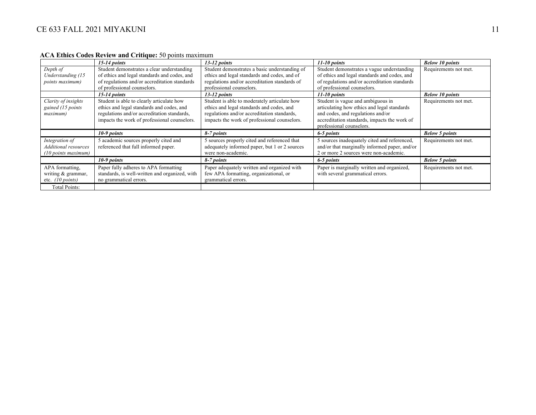|                                                                 | $15-14$ points                                                                                                                                                                        | $13-12$ points                                                                                                                                                                           | $11-10$ points                                                                                                                                                                                    | <b>Below 10 points</b> |
|-----------------------------------------------------------------|---------------------------------------------------------------------------------------------------------------------------------------------------------------------------------------|------------------------------------------------------------------------------------------------------------------------------------------------------------------------------------------|---------------------------------------------------------------------------------------------------------------------------------------------------------------------------------------------------|------------------------|
| Depth of<br>Understanding (15<br>points maximum)                | Student demonstrates a clear understanding<br>of ethics and legal standards and codes, and<br>of regulations and/or accreditation standards<br>of professional counselors.            | Student demonstrates a basic understanding of<br>ethics and legal standards and codes, and of<br>regulations and/or accreditation standards of<br>professional counselors.               | Student demonstrates a vague understanding<br>of ethics and legal standards and codes, and<br>of regulations and/or accreditation standards<br>of professional counselors.                        | Requirements not met.  |
|                                                                 | $15-14$ points                                                                                                                                                                        | $13-12$ points                                                                                                                                                                           | $11-10$ points                                                                                                                                                                                    | <b>Below 10 points</b> |
| Clarity of insights<br>gained (15 points<br>maximum)            | Student is able to clearly articulate how<br>ethics and legal standards and codes, and<br>regulations and/or accreditation standards,<br>impacts the work of professional counselors. | Student is able to moderately articulate how<br>ethics and legal standards and codes, and<br>regulations and/or accreditation standards,<br>impacts the work of professional counselors. | Student is vague and ambiguous in<br>articulating how ethics and legal standards<br>and codes, and regulations and/or<br>accreditation standards, impacts the work of<br>professional counselors. | Requirements not met.  |
|                                                                 | $10-9$ points                                                                                                                                                                         | 8-7 points                                                                                                                                                                               | 6-5 points                                                                                                                                                                                        | <b>Below 5 points</b>  |
| Integration of<br>Additional resources<br>$(10$ points maximum) | 5 academic sources properly cited and<br>referenced that full informed paper.                                                                                                         | 5 sources properly cited and referenced that<br>adequately informed paper, but 1 or 2 sources<br>were non-academic.                                                                      | 5 sources inadequately cited and referenced,<br>and/or that marginally informed paper, and/or<br>2 or more 2 sources were non-academic.                                                           | Requirements not met.  |
|                                                                 | 10-9 points                                                                                                                                                                           | 8-7 points                                                                                                                                                                               | 6-5 points                                                                                                                                                                                        | <b>Below 5 points</b>  |
| APA formatting,<br>writing & grammar,                           | Paper fully adheres to APA formatting<br>standards, is well-written and organized, with                                                                                               | Paper adequately written and organized with<br>few APA formatting, organizational, or                                                                                                    | Paper is marginally written and organized,<br>with several grammatical errors.                                                                                                                    | Requirements not met.  |
| etc. $(10 \text{ points})$                                      | no grammatical errors.                                                                                                                                                                | grammatical errors.                                                                                                                                                                      |                                                                                                                                                                                                   |                        |

#### **ACA Ethics Codes Review and Critique:** 50 points maximum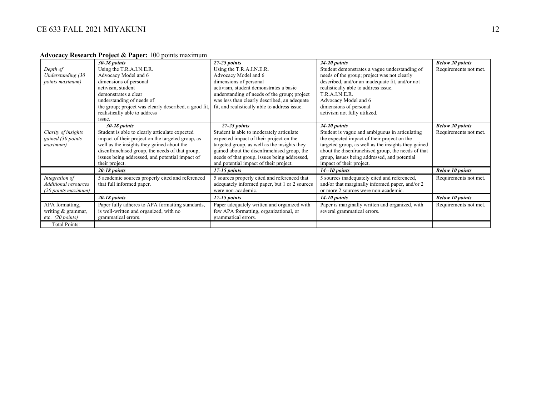#### **Advocacy Research Project & Paper:** 100 points maximum

|                            | $30-28$ points                                        | $27-25$ points                                | $24-20$ points                                      | <b>Below 20 points</b> |
|----------------------------|-------------------------------------------------------|-----------------------------------------------|-----------------------------------------------------|------------------------|
| Depth of                   | Using the T.R.A.I.N.E.R.                              | Using the T.R.A.I.N.E.R.                      | Student demonstrates a vague understanding of       | Requirements not met.  |
| Understanding (30          | Advocacy Model and 6                                  | Advocacy Model and 6                          | needs of the group; project was not clearly         |                        |
| <i>points maximum</i> )    | dimensions of personal                                | dimensions of personal                        | described, and/or an inadequate fit, and/or not     |                        |
|                            | activism, student                                     | activism, student demonstrates a basic        | realistically able to address issue.                |                        |
|                            | demonstrates a clear                                  | understanding of needs of the group; project  | T.R.A.I.N.E.R.                                      |                        |
|                            | understanding of needs of                             | was less than clearly described, an adequate  | Advocacy Model and 6                                |                        |
|                            | the group; project was clearly described, a good fit, | fit, and realistically able to address issue. | dimensions of personal                              |                        |
|                            | realistically able to address                         |                                               | activism not fully utilized.                        |                        |
|                            | issue.                                                |                                               |                                                     |                        |
|                            | $30-28$ points                                        | $27-25$ points                                | $24-20$ points                                      | <b>Below 20 points</b> |
| Clarity of insights        | Student is able to clearly articulate expected        | Student is able to moderately articulate      | Student is vague and ambiguous in articulating      | Requirements not met.  |
| gained (30 points          | impact of their project on the targeted group, as     | expected impact of their project on the       | the expected impact of their project on the         |                        |
| maximum)                   | well as the insights they gained about the            | targeted group, as well as the insights they  | targeted group, as well as the insights they gained |                        |
|                            | disenfranchised group, the needs of that group,       | gained about the disenfranchised group, the   | about the disenfranchised group, the needs of that  |                        |
|                            | issues being addressed, and potential impact of       | needs of that group, issues being addressed,  | group, issues being addressed, and potential        |                        |
|                            | their project.                                        | and potential impact of their project.        | impact of their project.                            |                        |
|                            | $20-18$ points                                        | $17-15$ points                                | $14 - 10$ points                                    | <b>Below 10 points</b> |
| Integration of             | 5 academic sources properly cited and referenced      | 5 sources properly cited and referenced that  | 5 sources inadequately cited and referenced,        | Requirements not met.  |
| Additional resources       | that full informed paper.                             | adequately informed paper, but 1 or 2 sources | and/or that marginally informed paper, and/or 2     |                        |
| (20 points maximum)        |                                                       | were non-academic.                            | or more 2 sources were non-academic.                |                        |
|                            | $20-18$ points                                        | $17-15$ points                                | $14-10$ points                                      | <b>Below 10 points</b> |
| APA formatting,            | Paper fully adheres to APA formatting standards,      | Paper adequately written and organized with   | Paper is marginally written and organized, with     | Requirements not met.  |
| writing & grammar,         | is well-written and organized, with no                | few APA formatting, organizational, or        | several grammatical errors.                         |                        |
| etc. $(20 \text{ points})$ | grammatical errors.                                   | grammatical errors.                           |                                                     |                        |
| <b>Total Points:</b>       |                                                       |                                               |                                                     |                        |